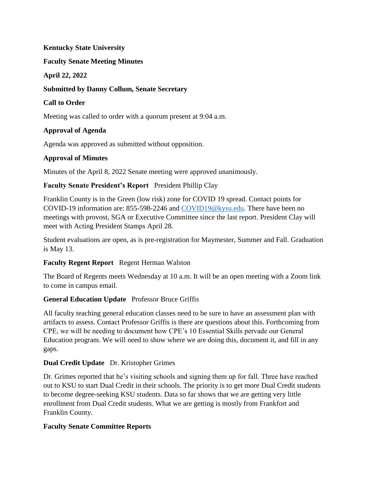### **Kentucky State University**

### **Faculty Senate Meeting Minutes**

### **April 22, 2022**

## **Submitted by Danny Collum, Senate Secretary**

## **Call to Order**

Meeting was called to order with a quorum present at 9:04 a.m.

# **Approval of Agenda**

Agenda was approved as submitted without opposition.

### **Approval of Minutes**

Minutes of the April 8, 2022 Senate meeting were approved unanimously.

# **Faculty Senate President's Report** President Phillip Clay

Franklin County is in the Green (low risk) zone for COVID 19 spread. Contact points for COVID-19 information are: 855-598-2246 and [COVID19@kysu.edu.](mailto:covid19@kysu.edu) There have been no meetings with provost, SGA or Executive Committee since the last report. President Clay will meet with Acting President Stamps April 28.

Student evaluations are open, as is pre-registration for Maymester, Summer and Fall. Graduation is May 13.

# **Faculty Regent Report** Regent Herman Walston

The Board of Regents meets Wednesday at 10 a.m. It will be an open meeting with a Zoom link to come in campus email.

# **General Education Update** Professor Bruce Griffis

All faculty teaching general education classes need to be sure to have an assessment plan with artifacts to assess. Contact Professor Griffis is there are questions about this. Forthcoming from CPE, we will be needing to document how CPE's 10 Essential Skills pervade our General Education program. We will need to show where we are doing this, document it, and fill in any gaps.

# **Dual Credit Update** Dr. Kristopher Grimes

Dr. Grimes reported that he's visiting schools and signing them up for fall. Three have reached out to KSU to start Dual Credit in their schools. The priority is to get more Dual Credit students to become degree-seeking KSU students. Data so far shows that we are getting very little enrollment from Dual Credit students. What we are getting is mostly from Frankfort and Franklin County.

# **Faculty Senate Committee Reports**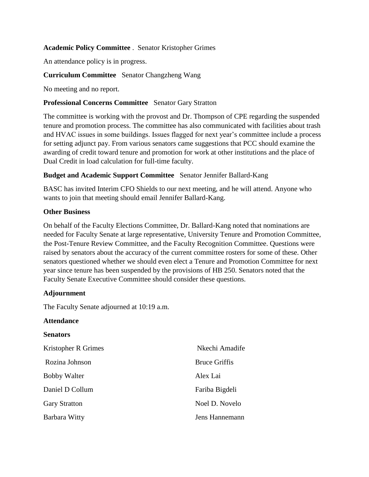### **Academic Policy Committee** . Senator Kristopher Grimes

An attendance policy is in progress.

### **Curriculum Committee** Senator Changzheng Wang

No meeting and no report.

#### **Professional Concerns Committee** Senator Gary Stratton

The committee is working with the provost and Dr. Thompson of CPE regarding the suspended tenure and promotion process. The committee has also communicated with facilities about trash and HVAC issues in some buildings. Issues flagged for next year's committee include a process for setting adjunct pay. From various senators came suggestions that PCC should examine the awarding of credit toward tenure and promotion for work at other institutions and the place of Dual Credit in load calculation for full-time faculty.

#### **Budget and Academic Support Committee** Senator Jennifer Ballard-Kang

BASC has invited Interim CFO Shields to our next meeting, and he will attend. Anyone who wants to join that meeting should email Jennifer Ballard-Kang.

#### **Other Business**

On behalf of the Faculty Elections Committee, Dr. Ballard-Kang noted that nominations are needed for Faculty Senate at large representative, University Tenure and Promotion Committee, the Post-Tenure Review Committee, and the Faculty Recognition Committee. Questions were raised by senators about the accuracy of the current committee rosters for some of these. Other senators questioned whether we should even elect a Tenure and Promotion Committee for next year since tenure has been suspended by the provisions of HB 250. Senators noted that the Faculty Senate Executive Committee should consider these questions.

### **Adjournment**

The Faculty Senate adjourned at 10:19 a.m.

#### **Attendance Senators** Kristopher R Grimes Rozina Johnson Bobby Walter Daniel D Collum Gary Stratton Barbara Witty Nkechi Amadife Bruce Griffis Alex Lai Fariba Bigdeli Noel D. Novelo Jens Hannemann